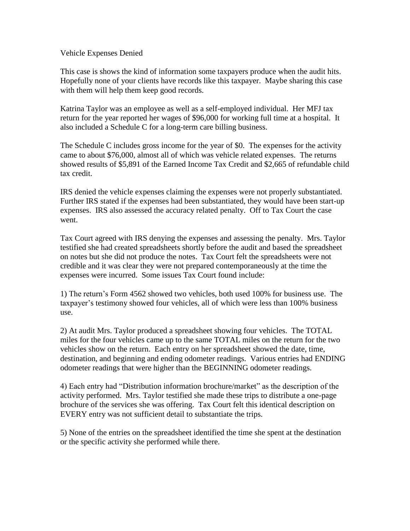## Vehicle Expenses Denied

This case is shows the kind of information some taxpayers produce when the audit hits. Hopefully none of your clients have records like this taxpayer. Maybe sharing this case with them will help them keep good records.

Katrina Taylor was an employee as well as a self-employed individual. Her MFJ tax return for the year reported her wages of \$96,000 for working full time at a hospital. It also included a Schedule C for a long-term care billing business.

The Schedule C includes gross income for the year of \$0. The expenses for the activity came to about \$76,000, almost all of which was vehicle related expenses. The returns showed results of \$5,891 of the Earned Income Tax Credit and \$2,665 of refundable child tax credit.

IRS denied the vehicle expenses claiming the expenses were not properly substantiated. Further IRS stated if the expenses had been substantiated, they would have been start-up expenses. IRS also assessed the accuracy related penalty. Off to Tax Court the case went.

Tax Court agreed with IRS denying the expenses and assessing the penalty. Mrs. Taylor testified she had created spreadsheets shortly before the audit and based the spreadsheet on notes but she did not produce the notes. Tax Court felt the spreadsheets were not credible and it was clear they were not prepared contemporaneously at the time the expenses were incurred. Some issues Tax Court found include:

1) The return's Form 4562 showed two vehicles, both used 100% for business use. The taxpayer's testimony showed four vehicles, all of which were less than 100% business use.

2) At audit Mrs. Taylor produced a spreadsheet showing four vehicles. The TOTAL miles for the four vehicles came up to the same TOTAL miles on the return for the two vehicles show on the return. Each entry on her spreadsheet showed the date, time, destination, and beginning and ending odometer readings. Various entries had ENDING odometer readings that were higher than the BEGINNING odometer readings.

4) Each entry had "Distribution information brochure/market" as the description of the activity performed. Mrs. Taylor testified she made these trips to distribute a one-page brochure of the services she was offering. Tax Court felt this identical description on EVERY entry was not sufficient detail to substantiate the trips.

5) None of the entries on the spreadsheet identified the time she spent at the destination or the specific activity she performed while there.